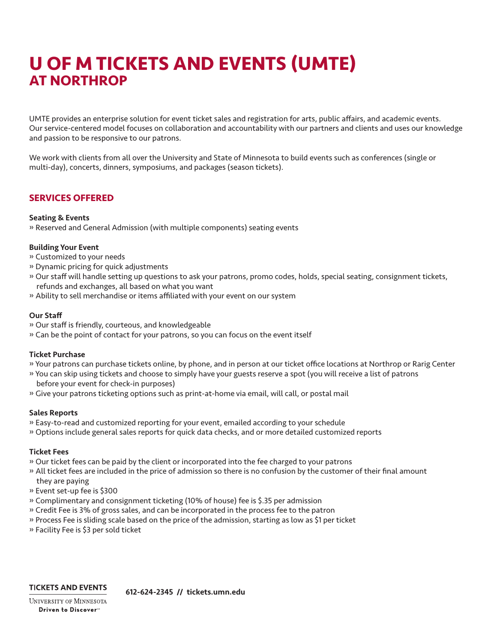# **U OF M TICKETS AND EVENTS (UMTE) AT NORTHROP**

UMTE provides an enterprise solution for event ticket sales and registration for arts, public affairs, and academic events. Our service-centered model focuses on collaboration and accountability with our partners and clients and uses our knowledge and passion to be responsive to our patrons.

We work with clients from all over the University and State of Minnesota to build events such as conferences (single or multi-day), concerts, dinners, symposiums, and packages (season tickets).

# **SERVICES OFFERED**

# Seating & Events

» Reserved and General Admission (with multiple components) seating events

# Building Your Event

» Customized to your needs

- » Dynamic pricing for quick adjustments
- » Our staff will handle setting up questions to ask your patrons, promo codes, holds, special seating, consignment tickets, refunds and exchanges, all based on what you want
- » Ability to sell merchandise or items affiliated with your event on our system

# Our Staff

- » Our staff is friendly, courteous, and knowledgeable
- » Can be the point of contact for your patrons, so you can focus on the event itself

### Ticket Purchase

- » Your patrons can purchase tickets online, by phone, and in person at our ticket office locations at Northrop or Rarig Center
- » You can skip using tickets and choose to simply have your guests reserve a spot (you will receive a list of patrons before your event for check-in purposes)
- » Give your patrons ticketing options such as print-at-home via email, will call, or postal mail

# Sales Reports

- » Easy-to-read and customized reporting for your event, emailed according to your schedule
- » Options include general sales reports for quick data checks, and or more detailed customized reports

### Ticket Fees

- » Our ticket fees can be paid by the client or incorporated into the fee charged to your patrons
- » All ticket fees are included in the price of admission so there is no confusion by the customer of their final amount
- they are paying
- » Event set-up fee is \$300
- » Complimentary and consignment ticketing (10% of house) fee is \$.35 per admission
- » Credit Fee is 3% of gross sales, and can be incorporated in the process fee to the patron
- » Process Fee is sliding scale based on the price of the admission, starting as low as \$1 per ticket
- » Facility Fee is \$3 per sold ticket

# **TICKETS AND EVENTS**

612-624-2345 // tickets.umn.edu